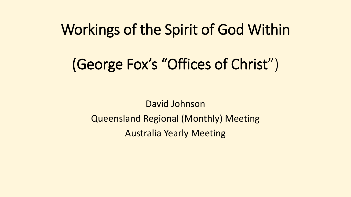## Workings of the Spirit of God Within

# (George Fox's "Offices of Christ")

David Johnson Queensland Regional (Monthly) Meeting Australia Yearly Meeting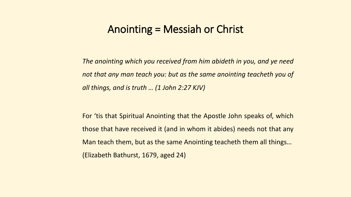#### Anointing = Messiah or Christ

*The anointing which you received from him abideth in you, and ye need not that any man teach you: but as the same anointing teacheth you of all things, and is truth … (1 John 2:27 KJV)*

For 'tis that Spiritual Anointing that the Apostle John speaks of, which those that have received it (and in whom it abides) needs not that any Man teach them, but as the same Anointing teacheth them all things… (Elizabeth Bathurst, 1679, aged 24)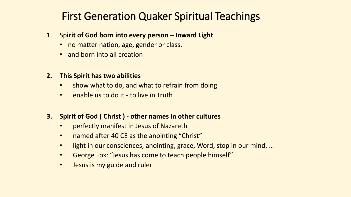## First Generation Quaker Spiritual Teachings

- 1. Sp**irit of God born into every person – Inward Light**
	- no matter nation, age, gender or class.
	- and born into all creation
- **2. This Spirit has two abilities** 
	- show what to do, and what to refrain from doing
	- enable us to do it to live in Truth
- **3. Spirit of God ( Christ ) - other names in other cultures**
	- perfectly manifest in Jesus of Nazareth
	- named after 40 CE as the anointing "Christ"
	- light in our consciences, anointing, grace, Word, stop in our mind, ...
	- George Fox: "Jesus has come to teach people himself"
	- Jesus is my guide and ruler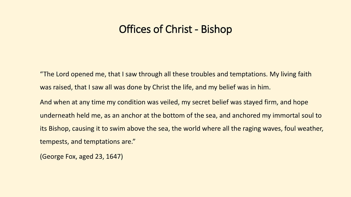### Offices of Christ - Bishop

"The Lord opened me, that I saw through all these troubles and temptations. My living faith was raised, that I saw all was done by Christ the life, and my belief was in him.

And when at any time my condition was veiled, my secret belief was stayed firm, and hope underneath held me, as an anchor at the bottom of the sea, and anchored my immortal soul to its Bishop, causing it to swim above the sea, the world where all the raging waves, foul weather, tempests, and temptations are."

(George Fox, aged 23, 1647)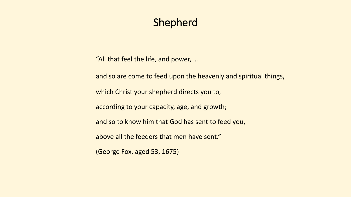## Shepherd

"All that feel the life, and power, …

and so are come to feed upon the heavenly and spiritual things,

which Christ your shepherd directs you to,

according to your capacity, age, and growth;

and so to know him that God has sent to feed you,

above all the feeders that men have sent."

(George Fox, aged 53, 1675)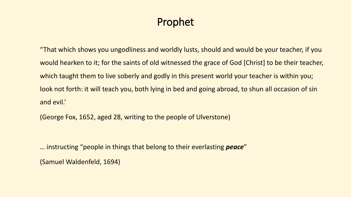## Prophet

"That which shows you ungodliness and worldly lusts, should and would be your teacher, if you would hearken to it; for the saints of old witnessed the grace of God [Christ] to be their teacher, which taught them to live soberly and godly in this present world your teacher is within you; look not forth: it will teach you, both lying in bed and going abroad, to shun all occasion of sin and evil.'

(George Fox, 1652, aged 28, writing to the people of Ulverstone)

… instructing "people in things that belong to their everlasting *peace*"

(Samuel Waldenfeld, 1694)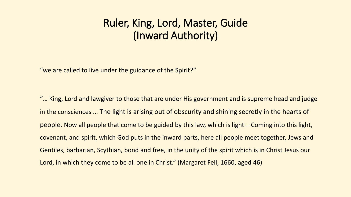## Ruler, King, Lord, Master, Guide (Inward Authority)

"we are called to live under the guidance of the Spirit?"

"... King, Lord and lawgiver to those that are under His government and is supreme head and judge in the consciences … The light is arising out of obscurity and shining secretly in the hearts of people. Now all people that come to be guided by this law, which is light – Coming into this light, covenant, and spirit, which God puts in the inward parts, here all people meet together, Jews and Gentiles, barbarian, Scythian, bond and free, in the unity of the spirit which is in Christ Jesus our Lord, in which they come to be all one in Christ." (Margaret Fell, 1660, aged 46)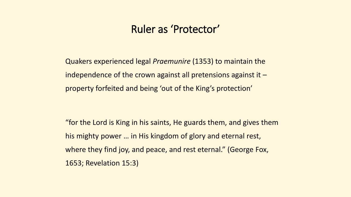#### Ruler as 'Protector'

Quakers experienced legal *Praemunire* (1353) to maintain the independence of the crown against all pretensions against it  $$ property forfeited and being 'out of the King's protection'

"for the Lord is King in his saints, He guards them, and gives them his mighty power … in His kingdom of glory and eternal rest, where they find joy, and peace, and rest eternal." (George Fox, 1653; Revelation 15:3)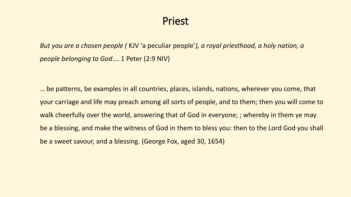#### Priest

*But you are a chosen people (* KJV 'a peculiar people'*), a royal priesthood, a holy nation, a people belonging to God*…. 1 Peter (2:9 NIV)

… be patterns, be examples in all countries, places, islands, nations, wherever you come, that your carriage and life may preach among all sorts of people, and to them; then you will come to walk cheerfully over the world, answering that of God in everyone; ; whereby in them ye may be a blessing, and make the witness of God in them to bless you: then to the Lord God you shall be a sweet savour, and a blessing. (George Fox, aged 30, 1654)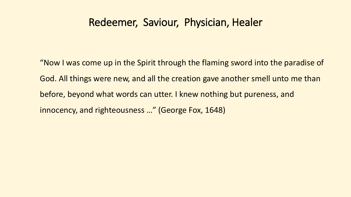## Redeemer, Saviour, Physician, Healer

"Now I was come up in the Spirit through the flaming sword into the paradise of God. All things were new, and all the creation gave another smell unto me than before, beyond what words can utter. I knew nothing but pureness, and innocency, and righteousness …" (George Fox, 1648)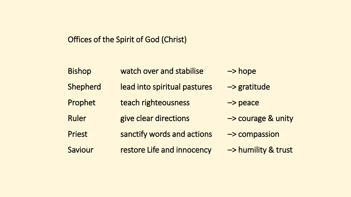#### Offices of the Spirit of God (Christ)

| <b>Bishop</b> | watch over and stabilise     | $\rightarrow$ hope      |
|---------------|------------------------------|-------------------------|
| Shepherd      | lead into spiritual pastures | $\rightarrow$ gratitude |
| Prophet       | teach righteousness          | $\rightarrow$ peace     |
| <b>Ruler</b>  | give clear directions        | -> courage & unity      |
| <b>Priest</b> | sanctify words and actions   | -> compassion           |
| Saviour       | restore Life and innocency   | -> humility & trust     |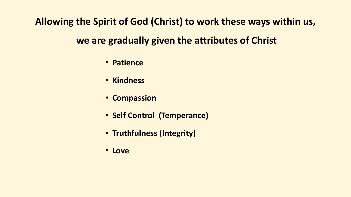**Allowing the Spirit of God (Christ) to work these ways within us,**

## **we are gradually given the attributes of Christ**

- **Patience**
- **Kindness**
- **Compassion**
- **Self Control (Temperance)**
- **Truthfulness (Integrity)**
- **Love**